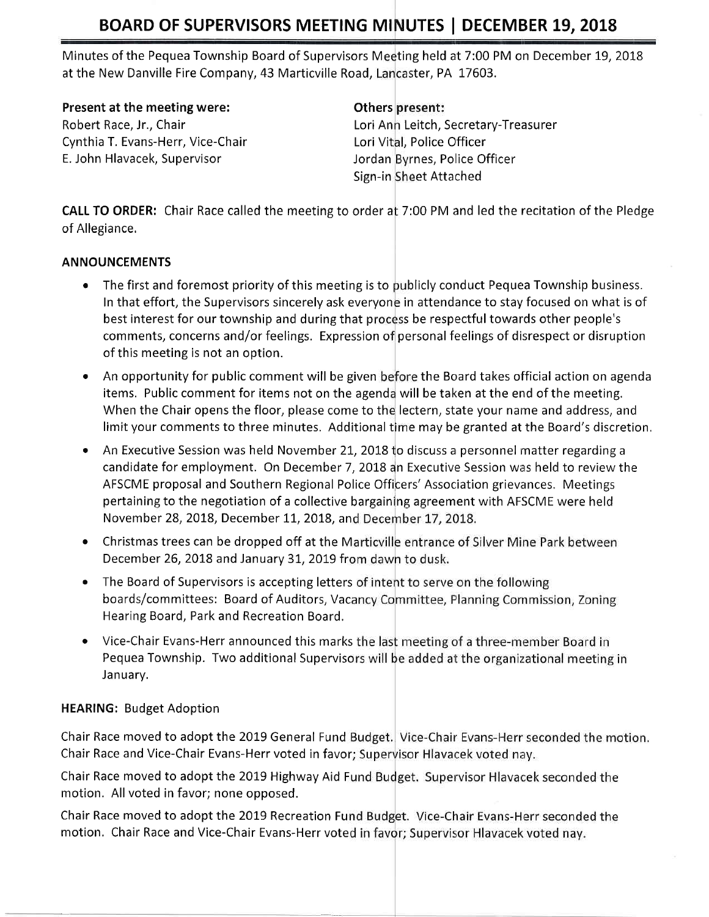## BOARD OF SUPERVISORS MEETING MINUTES | DECEMBER 19, 2018

Minutes of the Pequea Township Board of Supervisors Meeting held at 7:00 PM on December 19, 2018 at the New Danville Fire Company, 43 Marticville Road, Lancaster, PA 17603.

Present at the meeting were:

Robert Race, Jr., Chair Cynthia T. Evans-Herr, Vice-Chair E. John Hlavacek, Supervisor

## **Others** present:

Lori Ann Leitch, Secretary-Treasurer Lori Vital, Police Officer Jordan Byrnes, Police Officer Sign-in Sheet Attached

CALL TO ORDER: Chair Race called the meeting to order at 7:00 PM and led the recitation of the Pledge of Allegiance,

## ANNOUNCEMENTS

- $\bullet$  The first and foremost priority of this meeting is to publicly conduct Pequea Township business. In that effort, the Supervisors sincerely ask everyone in attendance to stay focused on what is of best interest for our township and during that process be respectful towards other people's comments, concerns and/or feelings. Expression of personal feelings of disrespect or disruption of this meeting is not an option.
- An opportunity for public comment will be given before the Board takes official action on agenda items. Public comment for items not on the agenda will be taken at the end of the meeting When the Chair opens the floor, please come to the lectern, state your name and address, and limit your comments to three minutes. Additional time may be granted at the Board's discretion.
- An Executive Session was held November 21, 2018 to discuss a personnel matter regarding a candidate for employment. On December 7, 2018 an Executive Session was held to review the AFSCME proposal and Southern Regional Police Officers' Association grievances. Meetings pertaining to the negotiation of a collective bargaining agreement with AFSCME were held November 28, 2018, December 11, 2018, and December 17, 2018.
- Christmas trees can be dropped off at the Marticville entrance of Silver Mine Park between December 26, 2018 and January 31, 2019 from dawn to dusk.
- The Board of Supervisors is accepting letters of intent to serve on the following boards/committees: Board of Auditors, Vacancy Committee, Planning Commission, Zoning Hearing Board, Park and Recreation Board,
- Vice-Chair Evans-Herr announced this marks the last meeting of a three-member Board in Pequea Township. Two additional Supervisors will be added at the organizational meeting in January.

## HEARING: Budget Adoption

Chair Race moved to adopt the 2019 General Fund Budget. Vice-Chair Evans-Herr seconded the motion. Chair Race and Vice-Chair Evans-Herr voted in favor; Supervisor Hlavacek voted nay.

Chair Race moved to adopt the 2019 Highway Aid Fund Budget. Supervisor Hlavacek seconded the motion. All voted in favor; none opposed.

Chair Race moved to adopt the 2019 Recreation Fund Budget. Vice-Chair Evans-Herr seconded the motion. Chair Race and Vice-Chair Evans-Herr voted in favor; Supervisor Hlavacek voted nay.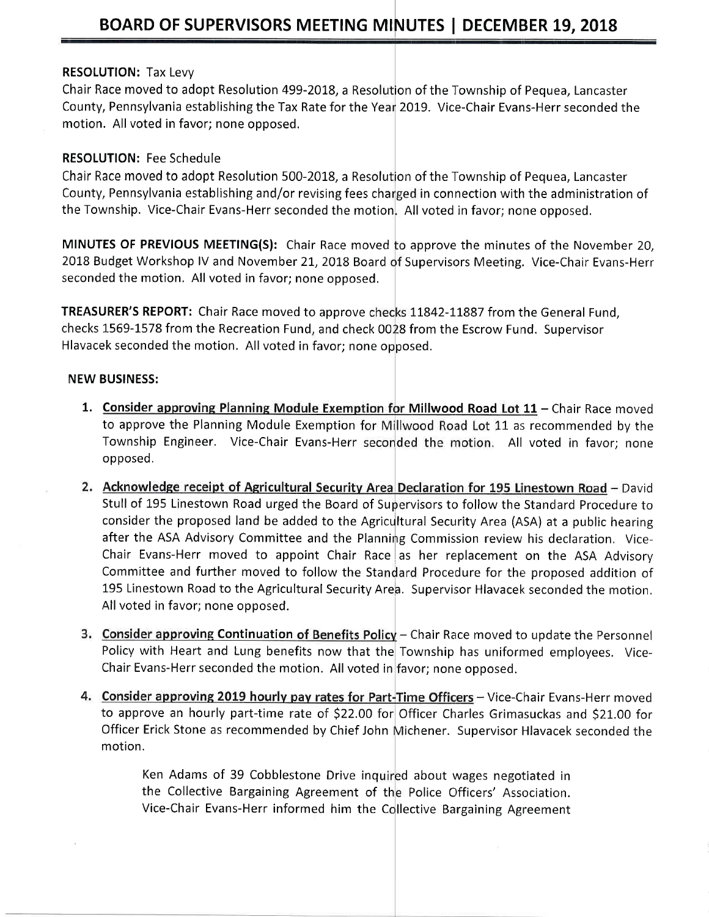### RESOLUTION: Tax Levy

Chair Race moved to adopt Resolution 499-2018, a Resolution of the Township of Pequea, Lancaster County, Pennsylvania establishing the Tax Rate for the Year 2019. Vice-Chair Evans-Herr seconded the motion. All voted in favor; none opposed.

## RESOLUTION: Fee Schedule

Chair Race moved to adopt Resolution 500-2018, a Resolution of the Township of Pequea, Lancaster County, Pennsylvania establishing and/or revising fees charged in connection with the administration of the Township. Vice-Chair Evans-Herr seconded the motion. All voted in favor; none opposed.

MINUTES OF PREVIOUS MEETING(S): Chair Race moved to approve the minutes of the November 20, 2018 Budget Workshop IV and November 21, 2018 Board of Supervisors Meeting. Vice-Chair Evans-Herr seconded the motion. All voted in favor; none opposed.

TREASURER'S REPORT: Chair Race moved to approve checks 11842-11887 from the General Fund, checks 1569-1578 from the Recreation Fund, and check 0028 from the Escrow Fund. Supervisor Hlavacek seconded the motion. All voted in favor; none opposed.

#### NEW BUSINESS:

- 1. Consider approving Planning Module Exemption for Millwood Road Lot  $11$  Chair Race moved to approve the Planning Module Exemption for Millwood Road Lot 11 as recommended by the Township Engineer. Vice-Chair Evans-Herr seconded the motion. All voted in favor; none opposed.
- Stull of 195 Linestown Road urged the Board of Supervisors to follow the Standard Procedure to 2. Acknowledge receipt of Agricultural Security Area Declaration for 195 Linestown Road - David Committee and further moved to follow the Standard Procedure for the proposed addition of 195 Linestown Road to the Agricultural Security Area. Supervisor Hlavacek seconded the motion. All voted in favor; none opposed. consider the proposed land be added to the Agricultural Security Area (ASA) at a public hearing after the ASA Advisory Committee and the Planning Commission review his declaration. Vice-Chair Evans-Herr moved to appoint Chair Race as her replacement on the ASA Advisory
- ing Continuation of Benefits Policy Chair Race moved to update the Personne Policy with Heart and Lung benefits now that the Township has uniformed employees. Vice-Chair Evans-Herr seconded the motion. All voted in favor; none opposed
- to approve an hourly part-time rate of \$22.00 for Officer Charles Grimasuckas and \$21.00 for Officer Erick Stone as recommended by Chief John Michener. Supervisor Hlavacek seconded the motion. 4. Consider approving 2019 hourly pay rates for Part-Time Officers - Vice-Chair Evans-Herr moved

Ken Adams of 39 Cobblestone Drive inquired about wages negotiated in the Collective Bargaining Agreement of the Police Officers' Association. Vice-Chair Evans-Herr informed him the Collective Bargaining Agreement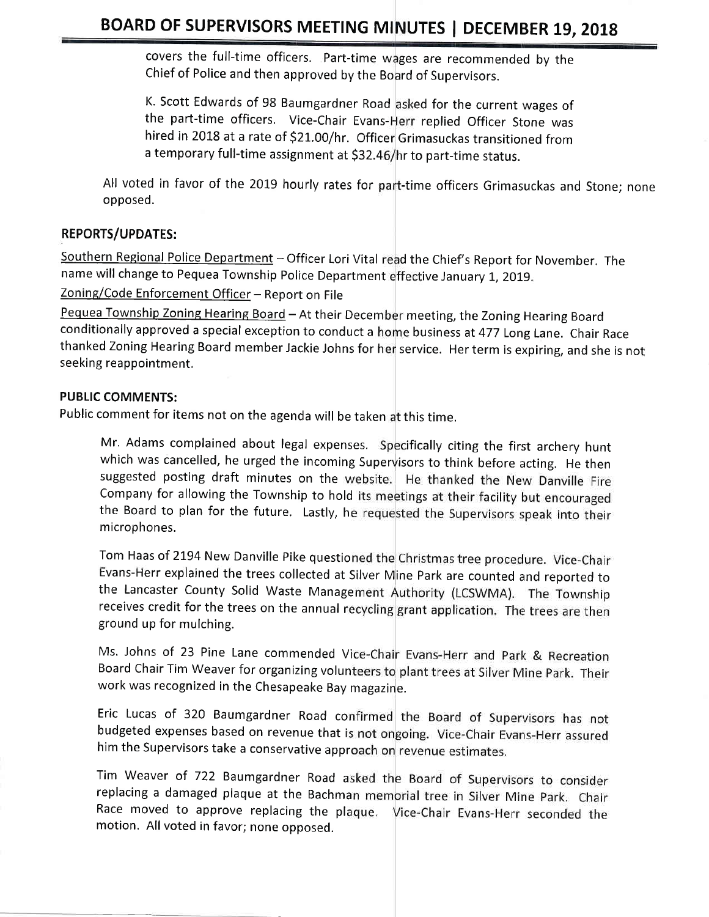## BOARD OF SUPERVISORS MEETING MINUTES | DECEMBER 19, 2018

covers the full-time officers. Part-time wages are recommended by the Chief of Police and then approved by the Board of Supervisors.

K. Scott Edwards of 98 Baumgardner Road <mark>asked for the current wages of</mark> the part-time officers. Vice-Chair Evans-Herr replied Officer Stone was hired in 2018 at a rate of \$21.00/hr. Officer Grimasuckas transitioned from a temporary full-time assignment at \$32.46/hr to part-time status.

All voted in favor of the 2019 hourly rates for part-time officers Grimasuckas and Stone; none opposed.

## REPORTS/UPDATES:

Southern Regional Police Department - Officer Lori Vital read the Chief's Report for November. The name will change to Pequea Township Police Department effective January 1, 2019.

Zoning/Code Enforcement Officer - Report on File

Pequea Township Zoning Hearing Board - At their December meeting, the Zoning Hearing Board conditionally approved a special exception to conduct a home business at 477 Long Lane. Chair Race thanked Zoning Hearing Board member Jackie Johns for her service. Her term is expiring, and she is not seeking reappointment.

#### PUBLIC COMMENTS:

Public comment for items not on the agenda will be taken at this time.

Mr. Adams complained about legal expenses. Specifically citing the first archery hunt which was cancelled, he urged the incoming Supervisors to think before acting. He then suggested posting draft minutes on the website. He thanked the New Danville Fire Company for allowing the Township to hold its meetings at their facility but encouraged the Board to plan for the future. Lastly, he requested the Supervisors speak into their microphones.

Tom Haas of 2194 New Danville Pike questioned the Christmas tree procedure. Vice-Chair Lvans-Herr explained the trees collected at Silver Mine Park are counted and reported to the Lancaster County Solid Waste Management Authority (LCSWMA). The Township receives credit for the trees on the annual recycling grant application. The trees are then ground up for mulching.

Ms. Johns of 23 Pine Lane commended Vice-Chair Evans-Herr and Park & Recreation Board Chair Tim Weaver for organizing volunteers to plant trees at Silver Mine Park. Their work was recognized in the Chesapeake Bay magazine.

Eric Lucas of 320 Baumgardner Road confirmed the Board of Supervisors has not budgeted expenses based on revenue that is not ongoing. Vice-Chair Evans-Herr assured him the Supervisors take a conservative approach on revenue estimates.

Tim Weaver of 722 Baumgardner Road asked the Board of Supervisors to consider replacing a damaged plaque at the Bachman memorial tree in Silver Mine Park. Chair Race moved to approve replacing the plaque. Vice-Chair Evans-Herr seconded the motion. All voted in favor; none opposed.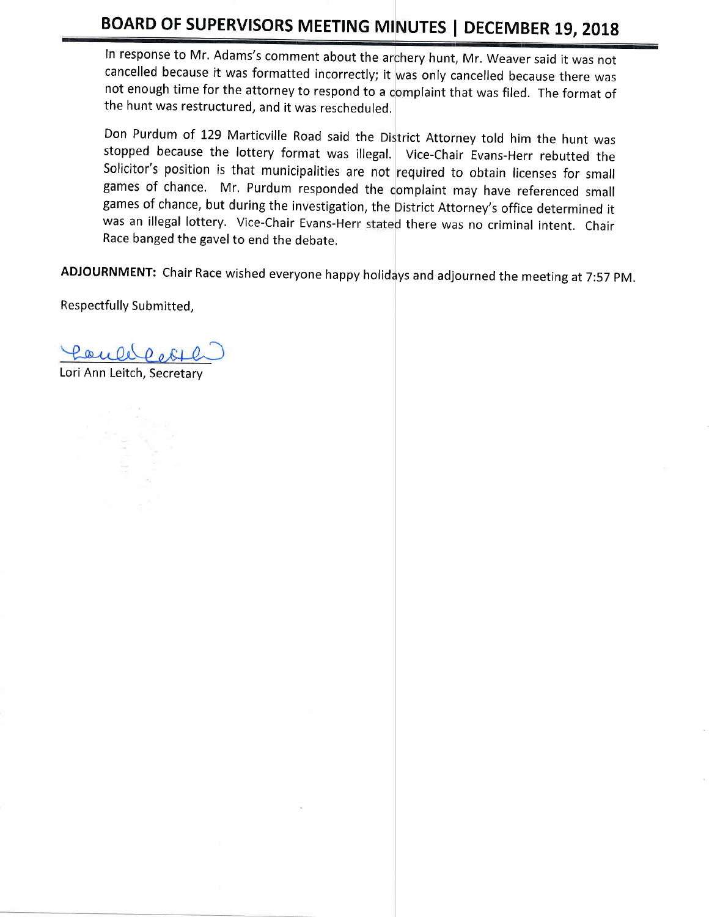# BOARD OF SUPERVISORS MEETING MINUTES | DECEMBER 19, 2018

In response to Mr. Adams's comment about the archery hunt, Mr. Weaver said it was not cancelled because it was formatted incorrectly; it was only cancelled because there was not enough time for the attorney to respond to a complaint that was filed. The format of the hunt was restructured, and it was rescheduled,

Don Purdum of 129 Marticville Road said the District Attorney told him the hunt was stopped because the lottery format was illegal. Vice-Chair Evans-Herr rebutted the Solicitor's position is that municipalities are not required to obtain licenses for smal games of chance, but during the investigation, the District Attorney's office determined it was an illegal lottery. Vice-Chair Evans-Herr stated there was no criminal intent. Chair games of chance. Mr. Purdum responded the complaint may have referenced small Race banged the gavel to end the debate.

ADJOURNMENT: Chair Race wished everyone happy holidays and adjourned the meeting at 7:57 PM.

Respectfully Submitted,

fould pol

Lori Ann Leitch, Secretary